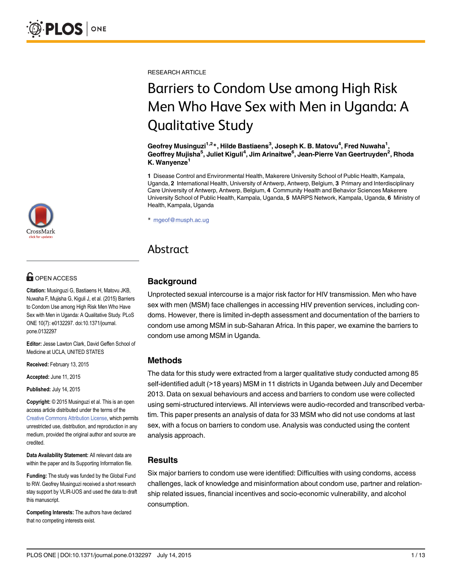RESEARCH ARTICLE

# Barriers to Condom Use among High Risk Men Who Have Sex with Men in Uganda: A Qualitative Study

Geofrey Musinguzi $^{1,2\, *}$ , Hilde Bastiaens $^3$ , Joseph K. B. Matovu $^4$ , Fred Nuwaha $^1,$ Geoffrey Mujisha<sup>5</sup>, Juliet Kiguli<sup>4</sup>, Jim Arinaitwe<sup>6</sup>, Jean-Pierre Van Geertruyden<sup>2</sup>, Rhoda K. Wanyenze<sup>1</sup>

1 Disease Control and Environmental Health, Makerere University School of Public Health, Kampala, Uganda, 2 International Health, University of Antwerp, Antwerp, Belgium, 3 Primary and Interdisciplinary Care University of Antwerp, Antwerp, Belgium, 4 Community Health and Behavior Sciences Makerere University School of Public Health, Kampala, Uganda, 5 MARPS Network, Kampala, Uganda, 6 Ministry of Health, Kampala, Uganda

\* mgeof@musph.ac.ug

# Abstract

# **Background**

Unprotected sexual intercourse is a major risk factor for HIV transmission. Men who have sex with men (MSM) face challenges in accessing HIV prevention services, including condoms. However, there is limited in-depth assessment and documentation of the barriers to condom use among MSM in sub-Saharan Africa. In this paper, we examine the barriers to condom use among MSM in Uganda.

#### Methods

The data for this study were extracted from a larger qualitative study conducted among 85 self-identified adult (>18 years) MSM in 11 districts in Uganda between July and December 2013. Data on sexual behaviours and access and barriers to condom use were collected using semi-structured interviews. All interviews were audio-recorded and transcribed verbatim. This paper presents an analysis of data for 33 MSM who did not use condoms at last sex, with a focus on barriers to condom use. Analysis was conducted using the content analysis approach.

#### **Results**

Six major barriers to condom use were identified: Difficulties with using condoms, access challenges, lack of knowledge and misinformation about condom use, partner and relationship related issues, financial incentives and socio-economic vulnerability, and alcohol consumption.



# **OPEN ACCESS**

Citation: Musinguzi G, Bastiaens H, Matovu JKB, Nuwaha F, Mujisha G, Kiguli J, et al. (2015) Barriers to Condom Use among High Risk Men Who Have Sex with Men in Uganda: A Qualitative Study. PLoS ONE 10(7): e0132297. doi:10.1371/journal. pone.0132297

Editor: Jesse Lawton Clark, David Geffen School of Medicine at UCLA, UNITED STATES

Received: February 13, 2015

Accepted: June 11, 2015

Published: July 14, 2015

Copyright: © 2015 Musinguzi et al. This is an open access article distributed under the terms of the [Creative Commons Attribution License,](http://creativecommons.org/licenses/by/4.0/) which permits unrestricted use, distribution, and reproduction in any medium, provided the original author and source are credited.

Data Availability Statement: All relevant data are within the paper and its Supporting Information file.

Funding: The study was funded by the Global Fund to RW. Geofrey Musinguzi received a short research stay support by VLIR-UOS and used the data to draft this manuscript.

Competing Interests: The authors have declared that no competing interests exist.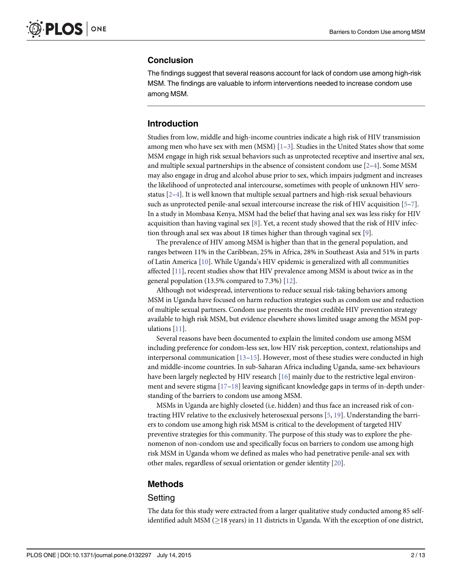# <span id="page-1-0"></span>Conclusion

The findings suggest that several reasons account for lack of condom use among high-risk MSM. The findings are valuable to inform interventions needed to increase condom use among MSM.

#### Introduction

Studies from low, middle and high-income countries indicate a high risk of HIV transmission among men who have sex with men (MSM)  $[1-3]$  $[1-3]$  $[1-3]$ . Studies in the United States show that some MSM engage in high risk sexual behaviors such as unprotected receptive and insertive anal sex, and multiple sexual partnerships in the absence of consistent condom use  $[2-4]$  $[2-4]$  $[2-4]$ . Some MSM may also engage in drug and alcohol abuse prior to sex, which impairs judgment and increases the likelihood of unprotected anal intercourse, sometimes with people of unknown HIV serostatus  $[2-4]$  $[2-4]$  $[2-4]$  $[2-4]$  $[2-4]$ . It is well known that multiple sexual partners and high-risk sexual behaviours such as unprotected penile-anal sexual intercourse increase the risk of HIV acquisition [\[5](#page-10-0)–[7](#page-10-0)]. In a study in Mombasa Kenya, MSM had the belief that having anal sex was less risky for HIV acquisition than having vaginal sex  $[8]$  $[8]$ . Yet, a recent study showed that the risk of HIV infection through anal sex was about 18 times higher than through vaginal sex [[9\]](#page-10-0).

The prevalence of HIV among MSM is higher than that in the general population, and ranges between 11% in the Caribbean, 25% in Africa, 28% in Southeast Asia and 51% in parts of Latin America [[10](#page-10-0)]. While Uganda's HIV epidemic is generalized with all communities affected [[11](#page-10-0)], recent studies show that HIV prevalence among MSM is about twice as in the general population (13.5% compared to 7.3%) [\[12\]](#page-11-0).

Although not widespread, interventions to reduce sexual risk-taking behaviors among MSM in Uganda have focused on harm reduction strategies such as condom use and reduction of multiple sexual partners. Condom use presents the most credible HIV prevention strategy available to high risk MSM, but evidence elsewhere shows limited usage among the MSM populations [\[11](#page-10-0)].

Several reasons have been documented to explain the limited condom use among MSM including preference for condom-less sex, low HIV risk perception, context, relationships and interpersonal communication  $[13-15]$  $[13-15]$  $[13-15]$  $[13-15]$  $[13-15]$ . However, most of these studies were conducted in high and middle-income countries. In sub-Saharan Africa including Uganda, same-sex behaviours have been largely neglected by HIV research  $[16]$  $[16]$  $[16]$  mainly due to the restrictive legal environ-ment and severe stigma [[17](#page-11-0)–[18\]](#page-11-0) leaving significant knowledge gaps in terms of in-depth understanding of the barriers to condom use among MSM.

MSMs in Uganda are highly closeted (i.e. hidden) and thus face an increased risk of contracting HIV relative to the exclusively heterosexual persons [\[5,](#page-10-0) [19\]](#page-11-0). Understanding the barriers to condom use among high risk MSM is critical to the development of targeted HIV preventive strategies for this community. The purpose of this study was to explore the phenomenon of non-condom use and specifically focus on barriers to condom use among high risk MSM in Uganda whom we defined as males who had penetrative penile-anal sex with other males, regardless of sexual orientation or gender identity [\[20\]](#page-11-0).

#### Methods

#### **Setting**

The data for this study were extracted from a larger qualitative study conducted among 85 selfidentified adult MSM ( $\geq$  18 years) in 11 districts in Uganda. With the exception of one district,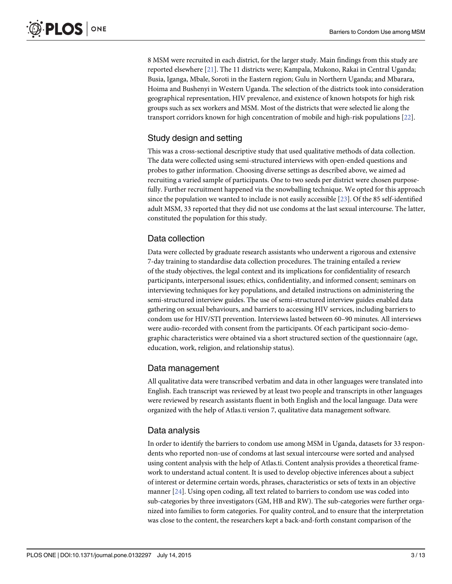<span id="page-2-0"></span>8 MSM were recruited in each district, for the larger study. Main findings from this study are reported elsewhere [[21](#page-11-0)]. The 11 districts were; Kampala, Mukono, Rakai in Central Uganda; Busia, Iganga, Mbale, Soroti in the Eastern region; Gulu in Northern Uganda; and Mbarara, Hoima and Bushenyi in Western Uganda. The selection of the districts took into consideration geographical representation, HIV prevalence, and existence of known hotspots for high risk groups such as sex workers and MSM. Most of the districts that were selected lie along the transport corridors known for high concentration of mobile and high-risk populations [\[22](#page-11-0)].

# Study design and setting

This was a cross-sectional descriptive study that used qualitative methods of data collection. The data were collected using semi-structured interviews with open-ended questions and probes to gather information. Choosing diverse settings as described above, we aimed ad recruiting a varied sample of participants. One to two seeds per district were chosen purposefully. Further recruitment happened via the snowballing technique. We opted for this approach since the population we wanted to include is not easily accessible  $[23]$ . Of the 85 self-identified adult MSM, 33 reported that they did not use condoms at the last sexual intercourse. The latter, constituted the population for this study.

# Data collection

Data were collected by graduate research assistants who underwent a rigorous and extensive 7-day training to standardise data collection procedures. The training entailed a review of the study objectives, the legal context and its implications for confidentiality of research participants, interpersonal issues; ethics, confidentiality, and informed consent; seminars on interviewing techniques for key populations, and detailed instructions on administering the semi-structured interview guides. The use of semi-structured interview guides enabled data gathering on sexual behaviours, and barriers to accessing HIV services, including barriers to condom use for HIV/STI prevention. Interviews lasted between 60–90 minutes. All interviews were audio-recorded with consent from the participants. Of each participant socio-demographic characteristics were obtained via a short structured section of the questionnaire (age, education, work, religion, and relationship status).

# Data management

All qualitative data were transcribed verbatim and data in other languages were translated into English. Each transcript was reviewed by at least two people and transcripts in other languages were reviewed by research assistants fluent in both English and the local language. Data were organized with the help of Atlas.ti version 7, qualitative data management software.

# Data analysis

In order to identify the barriers to condom use among MSM in Uganda, datasets for 33 respondents who reported non-use of condoms at last sexual intercourse were sorted and analysed using content analysis with the help of Atlas.ti. Content analysis provides a theoretical framework to understand actual content. It is used to develop objective inferences about a subject of interest or determine certain words, phrases, characteristics or sets of texts in an objective manner [[24](#page-11-0)]. Using open coding, all text related to barriers to condom use was coded into sub-categories by three investigators (GM, HB and RW). The sub-categories were further organized into families to form categories. For quality control, and to ensure that the interpretation was close to the content, the researchers kept a back-and-forth constant comparison of the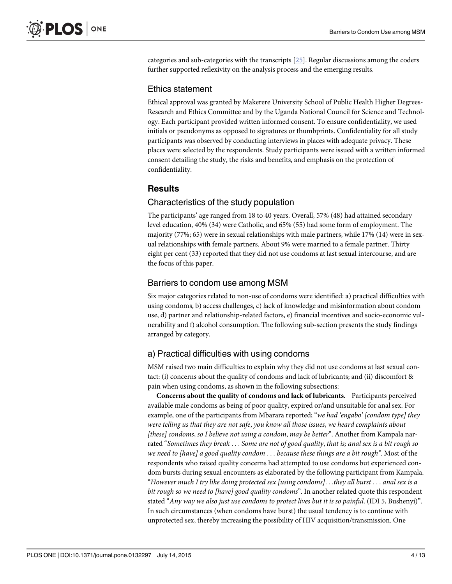<span id="page-3-0"></span>categories and sub-categories with the transcripts [[25](#page-11-0)]. Regular discussions among the coders further supported reflexivity on the analysis process and the emerging results.

#### Ethics statement

Ethical approval was granted by Makerere University School of Public Health Higher Degrees-Research and Ethics Committee and by the Uganda National Council for Science and Technology. Each participant provided written informed consent. To ensure confidentiality, we used initials or pseudonyms as opposed to signatures or thumbprints. Confidentiality for all study participants was observed by conducting interviews in places with adequate privacy. These places were selected by the respondents. Study participants were issued with a written informed consent detailing the study, the risks and benefits, and emphasis on the protection of confidentiality.

# Results

#### Characteristics of the study population

The participants' age ranged from 18 to 40 years. Overall, 57% (48) had attained secondary level education, 40% (34) were Catholic, and 65% (55) had some form of employment. The majority (77%; 65) were in sexual relationships with male partners, while 17% (14) were in sexual relationships with female partners. About 9% were married to a female partner. Thirty eight per cent (33) reported that they did not use condoms at last sexual intercourse, and are the focus of this paper.

#### Barriers to condom use among MSM

Six major categories related to non-use of condoms were identified: a) practical difficulties with using condoms, b) access challenges, c) lack of knowledge and misinformation about condom use, d) partner and relationship-related factors, e) financial incentives and socio-economic vulnerability and f) alcohol consumption. The following sub-section presents the study findings arranged by category.

#### a) Practical difficulties with using condoms

MSM raised two main difficulties to explain why they did not use condoms at last sexual contact: (i) concerns about the quality of condoms and lack of lubricants; and (ii) discomfort & pain when using condoms, as shown in the following subsections:

Concerns about the quality of condoms and lack of lubricants. Participants perceived available male condoms as being of poor quality, expired or/and unsuitable for anal sex. For example, one of the participants from Mbarara reported; "we had 'engabo' [condom type] they were telling us that they are not safe, you know all those issues, we heard complaints about [these] condoms, so I believe not using a condom, may be better". Another from Kampala narrated "Sometimes they break ... Some are not of good quality, that is; anal sex is a bit rough so we need to [have] a good quality condom  $\dots$  because these things are a bit rough". Most of the respondents who raised quality concerns had attempted to use condoms but experienced condom bursts during sexual encounters as elaborated by the following participant from Kampala. "However much I try like doing protected sex [using condoms]...they all burst ... anal sex is a bit rough so we need to [have] good quality condoms". In another related quote this respondent stated "Any way we also just use condoms to protect lives but it is so painful. (IDI 5, Bushenyi)". In such circumstances (when condoms have burst) the usual tendency is to continue with unprotected sex, thereby increasing the possibility of HIV acquisition/transmission. One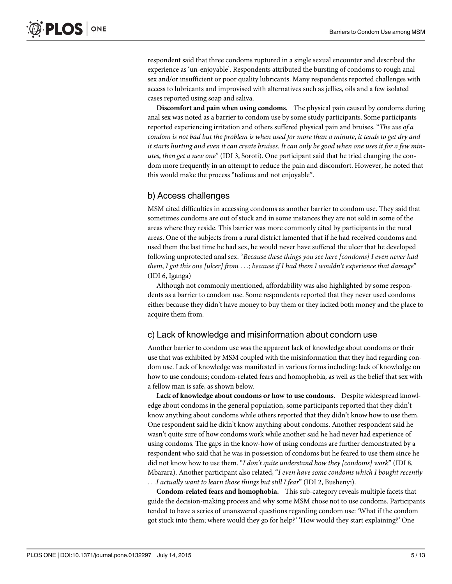respondent said that three condoms ruptured in a single sexual encounter and described the experience as 'un-enjoyable'. Respondents attributed the bursting of condoms to rough anal sex and/or insufficient or poor quality lubricants. Many respondents reported challenges with access to lubricants and improvised with alternatives such as jellies, oils and a few isolated cases reported using soap and saliva.

Discomfort and pain when using condoms. The physical pain caused by condoms during anal sex was noted as a barrier to condom use by some study participants. Some participants reported experiencing irritation and others suffered physical pain and bruises. "The use of a condom is not bad but the problem is when used for more than a minute, it tends to get dry and it starts hurting and even it can create bruises. It can only be good when one uses it for a few minutes, then get a new one" (IDI 3, Soroti). One participant said that he tried changing the condom more frequently in an attempt to reduce the pain and discomfort. However, he noted that this would make the process "tedious and not enjoyable".

#### b) Access challenges

MSM cited difficulties in accessing condoms as another barrier to condom use. They said that sometimes condoms are out of stock and in some instances they are not sold in some of the areas where they reside. This barrier was more commonly cited by participants in the rural areas. One of the subjects from a rural district lamented that if he had received condoms and used them the last time he had sex, he would never have suffered the ulcer that he developed following unprotected anal sex. "Because these things you see here [condoms] I even never had them, I got this one [ulcer] from  $\dots$ ; because if I had them I wouldn't experience that damage" (IDI 6, Iganga)

Although not commonly mentioned, affordability was also highlighted by some respondents as a barrier to condom use. Some respondents reported that they never used condoms either because they didn't have money to buy them or they lacked both money and the place to acquire them from.

#### c) Lack of knowledge and misinformation about condom use

Another barrier to condom use was the apparent lack of knowledge about condoms or their use that was exhibited by MSM coupled with the misinformation that they had regarding condom use. Lack of knowledge was manifested in various forms including: lack of knowledge on how to use condoms; condom-related fears and homophobia, as well as the belief that sex with a fellow man is safe, as shown below.

Lack of knowledge about condoms or how to use condoms. Despite widespread knowledge about condoms in the general population, some participants reported that they didn't know anything about condoms while others reported that they didn't know how to use them. One respondent said he didn't know anything about condoms. Another respondent said he wasn't quite sure of how condoms work while another said he had never had experience of using condoms. The gaps in the know-how of using condoms are further demonstrated by a respondent who said that he was in possession of condoms but he feared to use them since he did not know how to use them. "I don't quite understand how they [condoms] work" (IDI 8, Mbarara). Another participant also related, "I even have some condoms which I bought recently ...I actually want to learn those things but still I fear" (IDI 2, Bushenyi).

Condom-related fears and homophobia. This sub-category reveals multiple facets that guide the decision-making process and why some MSM chose not to use condoms. Participants tended to have a series of unanswered questions regarding condom use: 'What if the condom got stuck into them; where would they go for help?' 'How would they start explaining?' One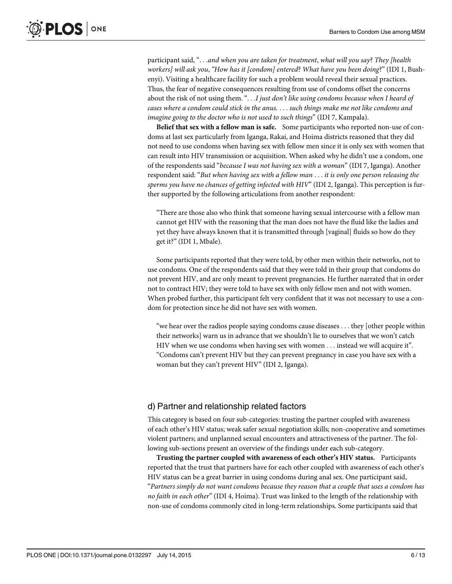participant said, "...and when you are taken for treatment, what will you say? They [health workers] will ask you, "How has it [condom] entered? What have you been doing?" (IDI 1, Bushenyi). Visiting a healthcare facility for such a problem would reveal their sexual practices. Thus, the fear of negative consequences resulting from use of condoms offset the concerns about the risk of not using them. "... I just don't like using condoms because when I heard of cases where a condom could stick in the anus. ... such things make me not like condoms and imagine going to the doctor who is not used to such things" (IDI 7, Kampala).

Belief that sex with a fellow man is safe. Some participants who reported non-use of condoms at last sex particularly from Iganga, Rakai, and Hoima districts reasoned that they did not need to use condoms when having sex with fellow men since it is only sex with women that can result into HIV transmission or acquisition. When asked why he didn't use a condom, one of the respondents said "because I was not having sex with a woman" (IDI 7, Iganga). Another respondent said: "But when having sex with a fellow man ... it is only one person releasing the sperms you have no chances of getting infected with HIV" (IDI 2, Iganga). This perception is further supported by the following articulations from another respondent:

"There are those also who think that someone having sexual intercourse with a fellow man cannot get HIV with the reasoning that the man does not have the fluid like the ladies and yet they have always known that it is transmitted through [vaginal] fluids so how do they get it?" (IDI 1, Mbale).

Some participants reported that they were told, by other men within their networks, not to use condoms. One of the respondents said that they were told in their group that condoms do not prevent HIV, and are only meant to prevent pregnancies. He further narrated that in order not to contract HIV; they were told to have sex with only fellow men and not with women. When probed further, this participant felt very confident that it was not necessary to use a condom for protection since he did not have sex with women.

"we hear over the radios people saying condoms cause diseases ... they [other people within their networks] warn us in advance that we shouldn't lie to ourselves that we won't catch HIV when we use condoms when having sex with women ... instead we will acquire it". "Condoms can't prevent HIV but they can prevent pregnancy in case you have sex with a woman but they can't prevent HIV" (IDI 2, Iganga).

#### d) Partner and relationship related factors

This category is based on four sub-categories: trusting the partner coupled with awareness of each other's HIV status; weak safer sexual negotiation skills; non-cooperative and sometimes violent partners; and unplanned sexual encounters and attractiveness of the partner. The following sub-sections present an overview of the findings under each sub-category.

Trusting the partner coupled with awareness of each other's HIV status. Participants reported that the trust that partners have for each other coupled with awareness of each other's HIV status can be a great barrier in using condoms during anal sex. One participant said, "Partners simply do not want condoms because they reason that a couple that uses a condom has no faith in each other" (IDI 4, Hoima). Trust was linked to the length of the relationship with non-use of condoms commonly cited in long-term relationships. Some participants said that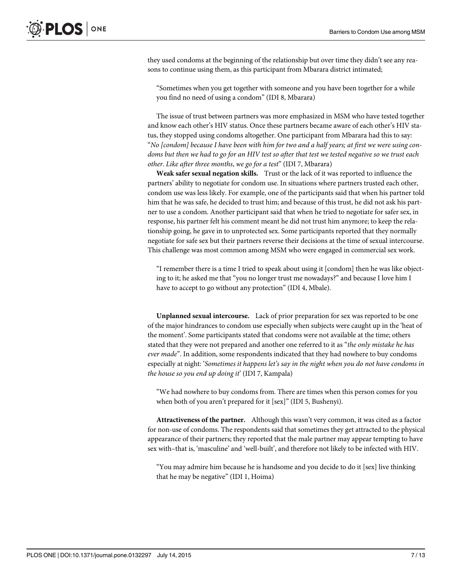they used condoms at the beginning of the relationship but over time they didn't see any reasons to continue using them, as this participant from Mbarara district intimated;

"Sometimes when you get together with someone and you have been together for a while you find no need of using a condom" (IDI 8, Mbarara)

The issue of trust between partners was more emphasized in MSM who have tested together and know each other's HIV status. Once these partners became aware of each other's HIV status, they stopped using condoms altogether. One participant from Mbarara had this to say: "No [condom] because I have been with him for two and a half years; at first we were using condoms but then we had to go for an HIV test so after that test we tested negative so we trust each other. Like after three months, we go for a test" (IDI 7, Mbarara)

Weak safer sexual negation skills. Trust or the lack of it was reported to influence the partners' ability to negotiate for condom use. In situations where partners trusted each other, condom use was less likely. For example, one of the participants said that when his partner told him that he was safe, he decided to trust him; and because of this trust, he did not ask his partner to use a condom. Another participant said that when he tried to negotiate for safer sex, in response, his partner felt his comment meant he did not trust him anymore; to keep the relationship going, he gave in to unprotected sex. Some participants reported that they normally negotiate for safe sex but their partners reverse their decisions at the time of sexual intercourse. This challenge was most common among MSM who were engaged in commercial sex work.

"I remember there is a time I tried to speak about using it [condom] then he was like objecting to it; he asked me that "you no longer trust me nowadays?" and because I love him I have to accept to go without any protection" (IDI 4, Mbale).

Unplanned sexual intercourse. Lack of prior preparation for sex was reported to be one of the major hindrances to condom use especially when subjects were caught up in the 'heat of the moment'. Some participants stated that condoms were not available at the time; others stated that they were not prepared and another one referred to it as "the only mistake he has ever made". In addition, some respondents indicated that they had nowhere to buy condoms especially at night: 'Sometimes it happens let's say in the night when you do not have condoms in the house so you end up doing it' (IDI 7, Kampala)

"We had nowhere to buy condoms from. There are times when this person comes for you when both of you aren't prepared for it [sex]" (IDI 5, Bushenyi).

Attractiveness of the partner. Although this wasn't very common, it was cited as a factor for non-use of condoms. The respondents said that sometimes they get attracted to the physical appearance of their partners; they reported that the male partner may appear tempting to have sex with–that is, 'masculine' and 'well-built', and therefore not likely to be infected with HIV.

"You may admire him because he is handsome and you decide to do it [sex] live thinking that he may be negative" (IDI 1, Hoima)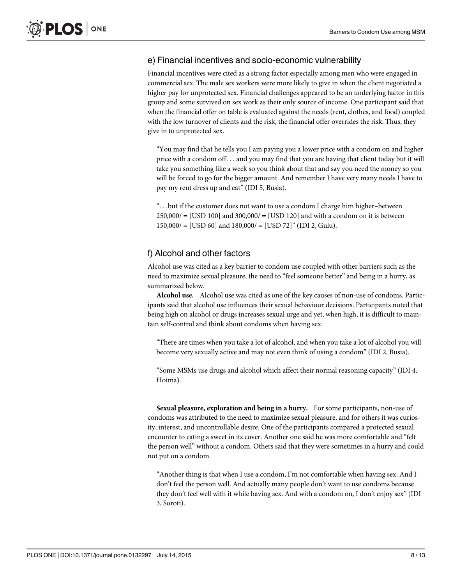# e) Financial incentives and socio-economic vulnerability

Financial incentives were cited as a strong factor especially among men who were engaged in commercial sex. The male sex workers were more likely to give in when the client negotiated a higher pay for unprotected sex. Financial challenges appeared to be an underlying factor in this group and some survived on sex work as their only source of income. One participant said that when the financial offer on table is evaluated against the needs (rent, clothes, and food) coupled with the low turnover of clients and the risk, the financial offer overrides the risk. Thus, they give in to unprotected sex.

"You may find that he tells you I am paying you a lower price with a condom on and higher price with a condom off... and you may find that you are having that client today but it will take you something like a week so you think about that and say you need the money so you will be forced to go for the bigger amount. And remember I have very many needs I have to pay my rent dress up and eat" (IDI 5, Busia).

"...but if the customer does not want to use a condom I charge him higher–between  $250,000/ =$  [USD 100] and  $300,000/ =$  [USD 120] and with a condom on it is between 150,000/ = [USD 60] and 180,000/ = [USD 72]" (IDI 2, Gulu).

# f) Alcohol and other factors

Alcohol use was cited as a key barrier to condom use coupled with other barriers such as the need to maximize sexual pleasure, the need to "feel someone better" and being in a hurry, as summarized below.

Alcohol use. Alcohol use was cited as one of the key causes of non-use of condoms. Participants said that alcohol use influences their sexual behaviour decisions. Participants noted that being high on alcohol or drugs increases sexual urge and yet, when high, it is difficult to maintain self-control and think about condoms when having sex.

"There are times when you take a lot of alcohol, and when you take a lot of alcohol you will become very sexually active and may not even think of using a condom" (IDI 2, Busia).

"Some MSMs use drugs and alcohol which affect their normal reasoning capacity" (IDI 4, Hoima).

Sexual pleasure, exploration and being in a hurry. For some participants, non-use of condoms was attributed to the need to maximize sexual pleasure, and for others it was curiosity, interest, and uncontrollable desire. One of the participants compared a protected sexual encounter to eating a sweet in its cover. Another one said he was more comfortable and "felt the person well" without a condom. Others said that they were sometimes in a hurry and could not put on a condom.

"Another thing is that when I use a condom, I'm not comfortable when having sex. And I don't feel the person well. And actually many people don't want to use condoms because they don't feel well with it while having sex. And with a condom on, I don't enjoy sex" (IDI 3, Soroti).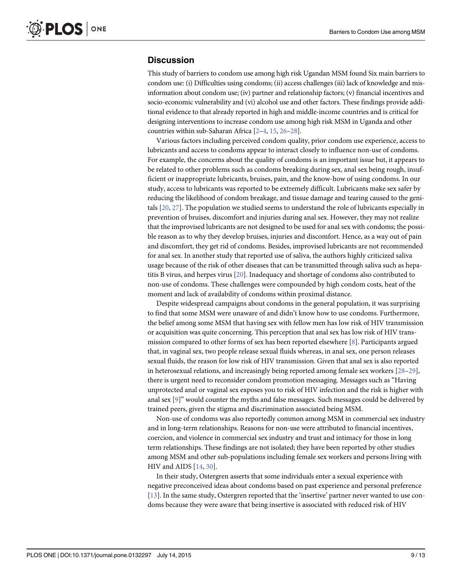# <span id="page-8-0"></span>**Discussion**

This study of barriers to condom use among high risk Ugandan MSM found Six main barriers to condom use: (i) Difficulties using condoms; (ii) access challenges (iii) lack of knowledge and misinformation about condom use; (iv) partner and relationship factors; (v) financial incentives and socio-economic vulnerability and (vi) alcohol use and other factors. These findings provide additional evidence to that already reported in high and middle-income countries and is critical for designing interventions to increase condom use among high risk MSM in Uganda and other countries within sub-Saharan Africa [[2](#page-10-0)–[4,](#page-10-0) [15,](#page-11-0) [26](#page-11-0)–[28\]](#page-11-0).

Various factors including perceived condom quality, prior condom use experience, access to lubricants and access to condoms appear to interact closely to influence non-use of condoms. For example, the concerns about the quality of condoms is an important issue but, it appears to be related to other problems such as condoms breaking during sex, anal sex being rough, insufficient or inappropriate lubricants, bruises, pain, and the know-how of using condoms. In our study, access to lubricants was reported to be extremely difficult. Lubricants make sex safer by reducing the likelihood of condom breakage, and tissue damage and tearing caused to the genitals [\[20,](#page-11-0) [27\]](#page-11-0). The population we studied seems to understand the role of lubricants especially in prevention of bruises, discomfort and injuries during anal sex. However, they may not realize that the improvised lubricants are not designed to be used for anal sex with condoms; the possible reason as to why they develop bruises, injuries and discomfort. Hence, as a way out of pain and discomfort, they get rid of condoms. Besides, improvised lubricants are not recommended for anal sex. In another study that reported use of saliva, the authors highly criticized saliva usage because of the risk of other diseases that can be transmitted through saliva such as hepatitis B virus, and herpes virus [\[20\]](#page-11-0). Inadequacy and shortage of condoms also contributed to non-use of condoms. These challenges were compounded by high condom costs, heat of the moment and lack of availability of condoms within proximal distance.

Despite widespread campaigns about condoms in the general population, it was surprising to find that some MSM were unaware of and didn't know how to use condoms. Furthermore, the belief among some MSM that having sex with fellow men has low risk of HIV transmission or acquisition was quite concerning. This perception that anal sex has low risk of HIV transmission compared to other forms of sex has been reported elsewhere  $[8]$  $[8]$ . Participants argued that, in vaginal sex, two people release sexual fluids whereas, in anal sex, one person releases sexual fluids, the reason for low risk of HIV transmission. Given that anal sex is also reported in heterosexual relations, and increasingly being reported among female sex workers [[28](#page-11-0)–[29](#page-11-0)], there is urgent need to reconsider condom promotion messaging. Messages such as "Having unprotected anal or vaginal sex exposes you to risk of HIV infection and the risk is higher with anal sex [\[9\]](#page-10-0)" would counter the myths and false messages. Such messages could be delivered by trained peers, given the stigma and discrimination associated being MSM.

Non-use of condoms was also reportedly common among MSM in commercial sex industry and in long-term relationships. Reasons for non-use were attributed to financial incentives, coercion, and violence in commercial sex industry and trust and intimacy for those in long term relationships. These findings are not isolated; they have been reported by other studies among MSM and other sub-populations including female sex workers and persons living with HIV and AIDS  $[14, 30]$  $[14, 30]$  $[14, 30]$ .

In their study, Ostergren asserts that some individuals enter a sexual experience with negative preconceived ideas about condoms based on past experience and personal preference [\[13](#page-11-0)]. In the same study, Ostergren reported that the 'insertive' partner never wanted to use condoms because they were aware that being insertive is associated with reduced risk of HIV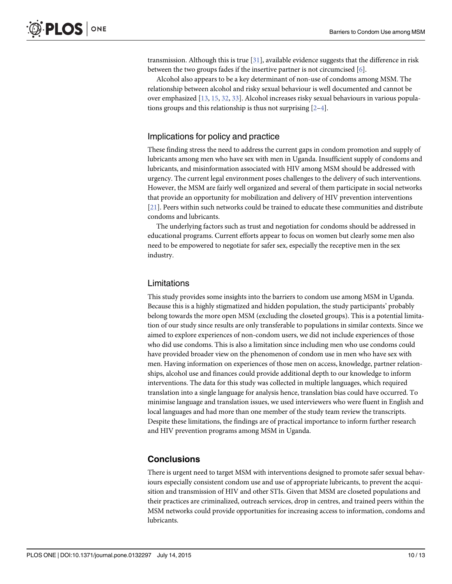<span id="page-9-0"></span>transmission. Although this is true  $[31]$  $[31]$  $[31]$ , available evidence suggests that the difference in risk between the two groups fades if the insertive partner is not circumcised [\[6](#page-10-0)].

Alcohol also appears to be a key determinant of non-use of condoms among MSM. The relationship between alcohol and risky sexual behaviour is well documented and cannot be over emphasized [\[13,](#page-11-0) [15,](#page-11-0) [32,](#page-11-0) [33\]](#page-12-0). Alcohol increases risky sexual behaviours in various populations groups and this relationship is thus not surprising  $[2-4]$  $[2-4]$  $[2-4]$  $[2-4]$  $[2-4]$ .

#### Implications for policy and practice

These finding stress the need to address the current gaps in condom promotion and supply of lubricants among men who have sex with men in Uganda. Insufficient supply of condoms and lubricants, and misinformation associated with HIV among MSM should be addressed with urgency. The current legal environment poses challenges to the delivery of such interventions. However, the MSM are fairly well organized and several of them participate in social networks that provide an opportunity for mobilization and delivery of HIV prevention interventions [\[21](#page-11-0)]. Peers within such networks could be trained to educate these communities and distribute condoms and lubricants.

The underlying factors such as trust and negotiation for condoms should be addressed in educational programs. Current efforts appear to focus on women but clearly some men also need to be empowered to negotiate for safer sex, especially the receptive men in the sex industry.

#### Limitations

This study provides some insights into the barriers to condom use among MSM in Uganda. Because this is a highly stigmatized and hidden population, the study participants' probably belong towards the more open MSM (excluding the closeted groups). This is a potential limitation of our study since results are only transferable to populations in similar contexts. Since we aimed to explore experiences of non-condom users, we did not include experiences of those who did use condoms. This is also a limitation since including men who use condoms could have provided broader view on the phenomenon of condom use in men who have sex with men. Having information on experiences of those men on access, knowledge, partner relationships, alcohol use and finances could provide additional depth to our knowledge to inform interventions. The data for this study was collected in multiple languages, which required translation into a single language for analysis hence, translation bias could have occurred. To minimise language and translation issues, we used interviewers who were fluent in English and local languages and had more than one member of the study team review the transcripts. Despite these limitations, the findings are of practical importance to inform further research and HIV prevention programs among MSM in Uganda.

#### **Conclusions**

There is urgent need to target MSM with interventions designed to promote safer sexual behaviours especially consistent condom use and use of appropriate lubricants, to prevent the acquisition and transmission of HIV and other STIs. Given that MSM are closeted populations and their practices are criminalized, outreach services, drop in centres, and trained peers within the MSM networks could provide opportunities for increasing access to information, condoms and lubricants.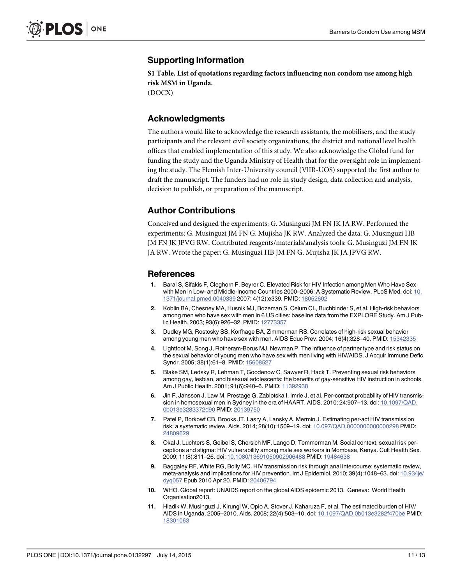# <span id="page-10-0"></span>Supporting Information

[S1 Table](http://www.plosone.org/article/fetchSingleRepresentation.action?uri=info:doi/10.1371/journal.pone.0132297.s001). List of quotations regarding factors influencing non condom use among high risk MSM in Uganda. (DOCX)

# Acknowledgments

The authors would like to acknowledge the research assistants, the mobilisers, and the study participants and the relevant civil society organizations, the district and national level health offices that enabled implementation of this study. We also acknowledge the Global fund for funding the study and the Uganda Ministry of Health that for the oversight role in implementing the study. The Flemish Inter-University council (VlIR-UOS) supported the first author to draft the manuscript. The funders had no role in study design, data collection and analysis, decision to publish, or preparation of the manuscript.

# Author Contributions

Conceived and designed the experiments: G. Musinguzi JM FN JK JA RW. Performed the experiments: G. Musinguzi JM FN G. Mujisha JK RW. Analyzed the data: G. Musinguzi HB JM FN JK JPVG RW. Contributed reagents/materials/analysis tools: G. Musinguzi JM FN JK JA RW. Wrote the paper: G. Musinguzi HB JM FN G. Mujisha JK JA JPVG RW.

#### References

- [1.](#page-1-0) Baral S, Sifakis F, Cleghorn F, Beyrer C. Elevated Risk for HIV Infection among Men Who Have Sex with Men in Low- and Middle-Income Countries 2000–2006: A Systematic Review. PLoS Med. doi: [10.](http://dx.doi.org/10.1371/journal.pmed.0040339) [1371/journal.pmed.0040339](http://dx.doi.org/10.1371/journal.pmed.0040339) 2007; 4(12):e339. PMID: [18052602](http://www.ncbi.nlm.nih.gov/pubmed/18052602)
- [2.](#page-1-0) Koblin BA, Chesney MA, Husnik MJ, Bozeman S, Celum CL, Buchbinder S, et al. High-risk behaviors among men who have sex with men in 6 US cities: baseline data from the EXPLORE Study. Am J Public Health. 2003; 93(6):926–32. PMID: [12773357](http://www.ncbi.nlm.nih.gov/pubmed/12773357)
- [3.](#page-1-0) Dudley MG, Rostosky SS, Korfhage BA, Zimmerman RS. Correlates of high-risk sexual behavior among young men who have sex with men. AIDS Educ Prev. 2004; 16(4):328–40. PMID: [15342335](http://www.ncbi.nlm.nih.gov/pubmed/15342335)
- [4.](#page-1-0) Lightfoot M, Song J, Rotheram-Borus MJ, Newman P. The influence of partner type and risk status on the sexual behavior of young men who have sex with men living with HIV/AIDS. J Acquir Immune Defic Syndr. 2005; 38(1):61–8. PMID: [15608527](http://www.ncbi.nlm.nih.gov/pubmed/15608527)
- [5.](#page-1-0) Blake SM, Ledsky R, Lehman T, Goodenow C, Sawyer R, Hack T. Preventing sexual risk behaviors among gay, lesbian, and bisexual adolescents: the benefits of gay-sensitive HIV instruction in schools. Am J Public Health. 2001; 91(6):940–6. PMID: [11392938](http://www.ncbi.nlm.nih.gov/pubmed/11392938)
- [6.](#page-9-0) Jin F, Jansson J, Law M, Prestage G, Zablotska I, Imrie J, et al. Per-contact probability of HIV transmission in homosexual men in Sydney in the era of HAART. AIDS. 2010; 24:907–13. doi: [10.1097/QAD.](http://dx.doi.org/10.1097/QAD.0b013e3283372d90) [0b013e3283372d90](http://dx.doi.org/10.1097/QAD.0b013e3283372d90) PMID: [20139750](http://www.ncbi.nlm.nih.gov/pubmed/20139750)
- [7.](#page-1-0) Patel P, Borkowf CB, Brooks JT, Lasry A, Lansky A, Mermin J. Estimating per-act HIV transmission risk: a systematic review. Aids. 2014; 28(10):1509–19. doi: [10.097/QAD.0000000000000298](http://dx.doi.org/10.097/QAD.0000000000000298) PMID: [24809629](http://www.ncbi.nlm.nih.gov/pubmed/24809629)
- [8.](#page-1-0) Okal J, Luchters S, Geibel S, Chersich MF, Lango D, Temmerman M. Social context, sexual risk perceptions and stigma: HIV vulnerability among male sex workers in Mombasa, Kenya. Cult Health Sex. 2009; 11(8):811–26. doi: [10.1080/13691050902906488](http://dx.doi.org/10.1080/13691050902906488) PMID: [19484638](http://www.ncbi.nlm.nih.gov/pubmed/19484638)
- [9.](#page-1-0) Baggaley RF, White RG, Boily MC. HIV transmission risk through anal intercourse: systematic review, meta-analysis and implications for HIV prevention. Int J Epidemiol. 2010; 39(4):1048-63. doi: [10.93/ije/](http://dx.doi.org/10.93/ije/dyq057) [dyq057](http://dx.doi.org/10.93/ije/dyq057) Epub 2010 Apr 20. PMID: [20406794](http://www.ncbi.nlm.nih.gov/pubmed/20406794)
- [10.](#page-1-0) WHO. Global report: UNAIDS report on the global AIDS epidemic 2013. Geneva: World Health Organisation2013.
- [11.](#page-1-0) Hladik W, Musinguzi J, Kirungi W, Opio A, Stover J, Kaharuza F, et al. The estimated burden of HIV/ AIDS in Uganda, 2005–2010. Aids. 2008; 22(4):503–10. doi: [10.1097/QAD.0b013e3282f470be](http://dx.doi.org/10.1097/QAD.0b013e3282f470be) PMID: [18301063](http://www.ncbi.nlm.nih.gov/pubmed/18301063)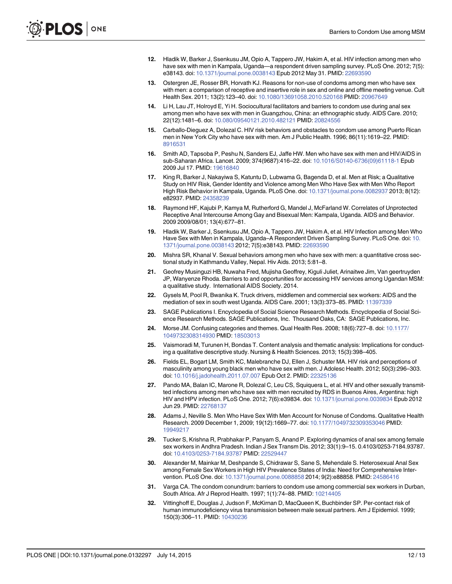- <span id="page-11-0"></span>[12.](#page-1-0) Hladik W, Barker J, Ssenkusu JM, Opio A, Tappero JW, Hakim A, et al. HIV infection among men who have sex with men in Kampala, Uganda—a respondent driven sampling survey. PLoS One. 2012; 7(5): e38143. doi: [10.1371/journal.pone.0038143](http://dx.doi.org/10.1371/journal.pone.0038143) Epub 2012 May 31. PMID: [22693590](http://www.ncbi.nlm.nih.gov/pubmed/22693590)
- [13.](#page-1-0) Ostergren JE, Rosser BR, Horvath KJ. Reasons for non-use of condoms among men who have sex with men: a comparison of receptive and insertive role in sex and online and offline meeting venue. Cult Health Sex. 2011; 13(2):123–40. doi: [10.1080/13691058.2010.520168](http://dx.doi.org/10.1080/13691058.2010.520168) PMID: [20967649](http://www.ncbi.nlm.nih.gov/pubmed/20967649)
- [14.](#page-8-0) Li H, Lau JT, Holroyd E, Yi H. Sociocultural facilitators and barriers to condom use during anal sex among men who have sex with men in Guangzhou, China: an ethnographic study. AIDS Care. 2010; 22(12):1481–6. doi: [10.080/09540121.2010.482121](http://dx.doi.org/10.080/09540121.2010.482121) PMID: [20824556](http://www.ncbi.nlm.nih.gov/pubmed/20824556)
- [15.](#page-1-0) Carballo-Dieguez A, Dolezal C. HIV risk behaviors and obstacles to condom use among Puerto Rican men in New York City who have sex with men. Am J Public Health. 1996; 86(11):1619–22. PMID: [8916531](http://www.ncbi.nlm.nih.gov/pubmed/8916531)
- [16.](#page-1-0) Smith AD, Tapsoba P, Peshu N, Sanders EJ, Jaffe HW. Men who have sex with men and HIV/AIDS in sub-Saharan Africa. Lancet. 2009; 374(9687):416–22. doi: [10.1016/S0140-6736\(09\)61118-1](http://dx.doi.org/10.1016/S0140-6736(09)61118-1) Epub 2009 Jul 17. PMID: [19616840](http://www.ncbi.nlm.nih.gov/pubmed/19616840)
- [17.](#page-1-0) King R, Barker J, Nakayiwa S, Katuntu D, Lubwama G, Bagenda D, et al. Men at Risk; a Qualitative Study on HIV Risk, Gender Identity and Violence among Men Who Have Sex with Men Who Report High Risk Behavior in Kampala, Uganda. PLoS One. doi: [10.1371/journal.pone.0082937](http://dx.doi.org/10.1371/journal.pone.0082937) 2013; 8(12): e82937. PMID: [24358239](http://www.ncbi.nlm.nih.gov/pubmed/24358239)
- [18.](#page-1-0) Raymond HF, Kajubi P, Kamya M, Rutherford G, Mandel J, McFarland W. Correlates of Unprotected Receptive Anal Intercourse Among Gay and Bisexual Men: Kampala, Uganda. AIDS and Behavior. 2009 2009/08/01; 13(4):677–81.
- [19.](#page-1-0) Hladik W, Barker J, Ssenkusu JM, Opio A, Tappero JW, Hakim A, et al. HIV Infection among Men Who Have Sex with Men in Kampala, Uganda–A Respondent Driven Sampling Survey. PLoS One. doi: [10.](http://dx.doi.org/10.1371/journal.pone.0038143) [1371/journal.pone.0038143](http://dx.doi.org/10.1371/journal.pone.0038143) 2012; 7(5):e38143. PMID: [22693590](http://www.ncbi.nlm.nih.gov/pubmed/22693590)
- [20.](#page-1-0) Mishra SR, Khanal V. Sexual behaviors among men who have sex with men: a quantitative cross sectional study in Kathmandu Valley, Nepal. Hiv Aids. 2013; 5:81–8.
- [21.](#page-2-0) Geofrey Musinguzi HB, Nuwaha Fred, Mujisha Geoffrey, Kiguli Juliet, Arinaitwe Jim, Van geertruyden JP, Wanyenze Rhoda. Barriers to and opportunities for accessing HIV services among Ugandan MSM: a qualitative study. International AIDS Society. 2014.
- [22.](#page-2-0) Gysels M, Pool R, Bwanika K. Truck drivers, middlemen and commercial sex workers: AIDS and the mediation of sex in south west Uganda. AIDS Care. 2001; 13(3):373–85. PMID: [11397339](http://www.ncbi.nlm.nih.gov/pubmed/11397339)
- [23.](#page-2-0) SAGE Publications I. Encyclopedia of Social Science Research Methods. Encyclopedia of Social Science Research Methods. SAGE Publications, Inc. Thousand Oaks, CA: SAGE Publications, Inc.
- [24.](#page-2-0) Morse JM. Confusing categories and themes. Qual Health Res. 2008; 18(6):727–8. doi: [10.1177/](http://dx.doi.org/10.1177/1049732308314930) [1049732308314930](http://dx.doi.org/10.1177/1049732308314930) PMID: [18503013](http://www.ncbi.nlm.nih.gov/pubmed/18503013)
- [25.](#page-3-0) Vaismoradi M, Turunen H, Bondas T. Content analysis and thematic analysis: Implications for conducting a qualitative descriptive study. Nursing & Health Sciences. 2013; 15(3):398–405.
- [26.](#page-8-0) Fields EL, Bogart LM, Smith KC, Malebranche DJ, Ellen J, Schuster MA. HIV risk and perceptions of masculinity among young black men who have sex with men. J Adolesc Health. 2012; 50(3):296–303. doi: [10.1016/j.jadohealth.2011.07.007](http://dx.doi.org/10.1016/j.jadohealth.2011.07.007) Epub Oct 2. PMID: [22325136](http://www.ncbi.nlm.nih.gov/pubmed/22325136)
- [27.](#page-8-0) Pando MA, Balan IC, Marone R, Dolezal C, Leu CS, Squiquera L, et al. HIV and other sexually transmitted infections among men who have sex with men recruited by RDS in Buenos Aires, Argentina: high HIV and HPV infection. PLoS One. 2012; 7(6):e39834. doi: [10.1371/journal.pone.0039834](http://dx.doi.org/10.1371/journal.pone.0039834) Epub 2012 Jun 29. PMID: [22768137](http://www.ncbi.nlm.nih.gov/pubmed/22768137)
- [28.](#page-8-0) Adams J, Neville S. Men Who Have Sex With Men Account for Nonuse of Condoms. Qualitative Health Research. 2009 December 1, 2009; 19(12):1669–77. doi: [10.1177/1049732309353046](http://dx.doi.org/10.1177/1049732309353046) PMID: [19949217](http://www.ncbi.nlm.nih.gov/pubmed/19949217)
- [29.](#page-8-0) Tucker S, Krishna R, Prabhakar P, Panyam S, Anand P. Exploring dynamics of anal sex among female sex workers in Andhra Pradesh. Indian J Sex Transm Dis. 2012; 33(1):9–15. 0.4103/0253-7184.93787. doi: [10.4103/0253-7184.93787](http://dx.doi.org/10.4103/0253-7184.93787) PMID: [22529447](http://www.ncbi.nlm.nih.gov/pubmed/22529447)
- [30.](#page-8-0) Alexander M, Mainkar M, Deshpande S, Chidrawar S, Sane S, Mehendale S. Heterosexual Anal Sex among Female Sex Workers in High HIV Prevalence States of India: Need for Comprehensive Intervention. PLoS One. doi: [10.1371/journal.pone.0088858](http://dx.doi.org/10.1371/journal.pone.0088858) 2014; 9(2):e88858. PMID: [24586416](http://www.ncbi.nlm.nih.gov/pubmed/24586416)
- [31.](#page-9-0) Varga CA. The condom conundrum: barriers to condom use among commercial sex workers in Durban, South Africa. Afr J Reprod Health. 1997; 1(1):74–88. PMID: [10214405](http://www.ncbi.nlm.nih.gov/pubmed/10214405)
- [32.](#page-9-0) Vittinghoff E, Douglas J, Judson F, McKirnan D, MacQueen K, Buchbinder SP. Per-contact risk of human immunodeficiency virus transmission between male sexual partners. Am J Epidemiol. 1999; 150(3):306–11. PMID: [10430236](http://www.ncbi.nlm.nih.gov/pubmed/10430236)